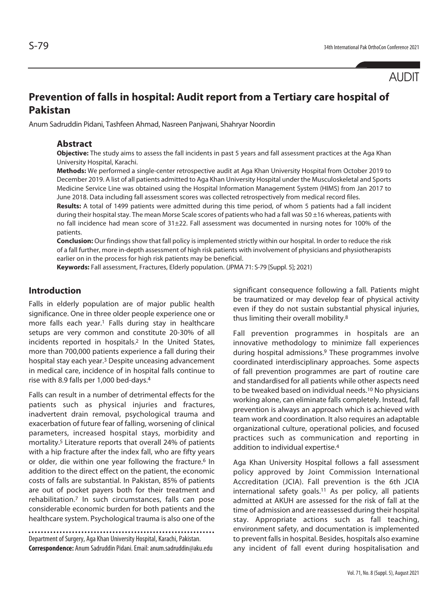AUDIT

# **Prevention of falls in hospital: Audit report from a Tertiary care hospital of Pakistan**

Anum Sadruddin Pidani, Tashfeen Ahmad, Nasreen Panjwani, Shahryar Noordin

#### **Abstract**

**Objective:** The study aims to assess the fall incidents in past 5 years and fall assessment practices at the Aga Khan University Hospital, Karachi.

**Methods:** We performed a single-center retrospective audit at Aga Khan University Hospital from October 2019 to December 2019. A list of all patients admitted to Aga Khan University Hospital under the Musculoskeletal and Sports Medicine Service Line was obtained using the Hospital Information Management System (HIMS) from Jan 2017 to June 2018. Data including fall assessment scores was collected retrospectively from medical record files.

**Results:** A total of 1499 patients were admitted during this time period, of whom 5 patients had a fall incident during their hospital stay. The mean Morse Scale scores of patients who had a fall was 50 ±16 whereas, patients with no fall incidence had mean score of 31±22. Fall assessment was documented in nursing notes for 100% of the patients.

**Conclusion:** Our findings show that fall policy is implemented strictly within our hospital. In order to reduce the risk of a fall further, more in-depth assessment of high risk patients with involvement of physicians and physiotherapists earlier on in the process for high risk patients may be beneficial.

**Keywords:** Fall assessment, Fractures, Elderly population. (JPMA 71: S-79 [Suppl. 5]; 2021)

## **Introduction**

Falls in elderly population are of major public health significance. One in three older people experience one or more falls each year.1 Falls during stay in healthcare setups are very common and constitute 20-30% of all incidents reported in hospitals.2 In the United States, more than 700,000 patients experience a fall during their hospital stay each year.3 Despite unceasing advancement in medical care, incidence of in hospital falls continue to rise with 8.9 falls per 1,000 bed-days.4

Falls can result in a number of detrimental effects for the patients such as physical injuries and fractures, inadvertent drain removal, psychological trauma and exacerbation of future fear of falling, worsening of clinical parameters, increased hospital stays, morbidity and mortality.5 Literature reports that overall 24% of patients with a hip fracture after the index fall, who are fifty years or older, die within one year following the fracture.<sup>6</sup> In addition to the direct effect on the patient, the economic costs of falls are substantial. In Pakistan, 85% of patients are out of pocket payers both for their treatment and rehabilitation.7 In such circumstances, falls can pose considerable economic burden for both patients and the healthcare system. Psychological trauma is also one of the

Department of Surgery, Aga Khan University Hospital, Karachi, Pakistan. **Correspondence:** Anum Sadruddin Pidani. Email: anum.sadruddin@aku.edu significant consequence following a fall. Patients might be traumatized or may develop fear of physical activity even if they do not sustain substantial physical injuries, thus limiting their overall mobility.8

Fall prevention programmes in hospitals are an innovative methodology to minimize fall experiences during hospital admissions.9 These programmes involve coordinated interdisciplinary approaches. Some aspects of fall prevention programmes are part of routine care and standardised for all patients while other aspects need to be tweaked based on individual needs.10 No physicians working alone, can eliminate falls completely. Instead, fall prevention is always an approach which is achieved with team work and coordination. It also requires an adaptable organizational culture, operational policies, and focused practices such as communication and reporting in addition to individual expertise.4

Aga Khan University Hospital follows a fall assessment policy approved by Joint Commission International Accreditation (JCIA). Fall prevention is the 6th JCIA international safety goals.<sup>11</sup> As per policy, all patients admitted at AKUH are assessed for the risk of fall at the time of admission and are reassessed during their hospital stay. Appropriate actions such as fall teaching, environment safety, and documentation is implemented to prevent falls in hospital. Besides, hospitals also examine any incident of fall event during hospitalisation and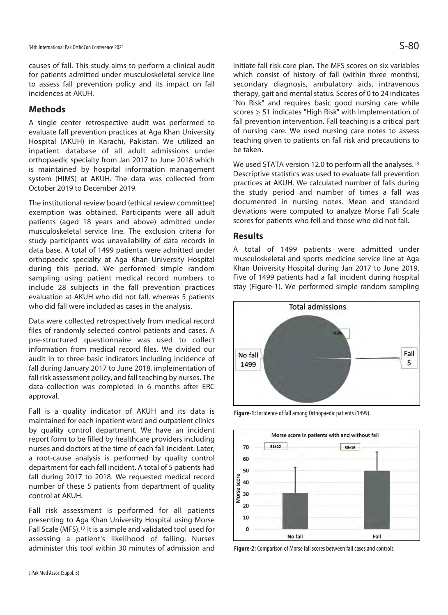causes of fall. This study aims to perform a clinical audit for patients admitted under musculoskeletal service line to assess fall prevention policy and its impact on fall incidences at AKUH.

### **Methods**

A single center retrospective audit was performed to evaluate fall prevention practices at Aga Khan University Hospital (AKUH) in Karachi, Pakistan. We utilized an inpatient database of all adult admissions under orthopaedic specialty from Jan 2017 to June 2018 which is maintained by hospital information management system (HIMS) at AKUH. The data was collected from October 2019 to December 2019.

The institutional review board (ethical review committee) exemption was obtained. Participants were all adult patients (aged 18 years and above) admitted under musculoskeletal service line. The exclusion criteria for study participants was unavailability of data records in data base. A total of 1499 patients were admitted under orthopaedic specialty at Aga Khan University Hospital during this period. We performed simple random sampling using patient medical record numbers to include 28 subjects in the fall prevention practices evaluation at AKUH who did not fall, whereas 5 patients who did fall were included as cases in the analysis.

Data were collected retrospectively from medical record files of randomly selected control patients and cases. A pre-structured questionnaire was used to collect information from medical record files. We divided our audit in to three basic indicators including incidence of fall during January 2017 to June 2018, implementation of fall risk assessment policy, and fall teaching by nurses. The data collection was completed in 6 months after ERC approval.

Fall is a quality indicator of AKUH and its data is maintained for each inpatient ward and outpatient clinics by quality control department. We have an incident report form to be filled by healthcare providers including nurses and doctors at the time of each fall incident. Later, a root-cause analysis is performed by quality control department for each fall incident. A total of 5 patients had fall during 2017 to 2018. We requested medical record number of these 5 patients from department of quality control at AKUH.

Fall risk assessment is performed for all patients presenting to Aga Khan University Hospital using Morse Fall Scale (MFS).12 It is a simple and validated tool used for assessing a patient's likelihood of falling. Nurses administer this tool within 30 minutes of admission and

initiate fall risk care plan. The MFS scores on six variables which consist of history of fall (within three months), secondary diagnosis, ambulatory aids, intravenous therapy, gait and mental status. Scores of 0 to 24 indicates "No Risk" and requires basic good nursing care while scores > 51 indicates "High Risk" with implementation of fall prevention intervention. Fall teaching is a critical part of nursing care. We used nursing care notes to assess teaching given to patients on fall risk and precautions to be taken.

We used STATA version 12.0 to perform all the analyses.<sup>13</sup> Descriptive statistics was used to evaluate fall prevention practices at AKUH. We calculated number of falls during the study period and number of times a fall was documented in nursing notes. Mean and standard deviations were computed to analyze Morse Fall Scale scores for patients who fell and those who did not fall.

#### **Results**

A total of 1499 patients were admitted under musculoskeletal and sports medicine service line at Aga Khan University Hospital during Jan 2017 to June 2019. Five of 1499 patients had a fall incident during hospital stay (Figure-1). We performed simple random sampling



**Figure-1:** Incidence of fall among Orthopaedic patients (1499).



**Figure-2:** Comparison of Morse fall scores between fall cases and controls.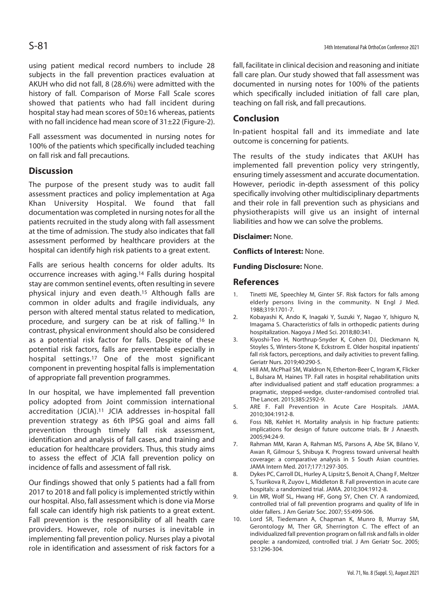using patient medical record numbers to include 28 subjects in the fall prevention practices evaluation at AKUH who did not fall, 8 (28.6%) were admitted with the history of fall. Comparison of Morse Fall Scale scores showed that patients who had fall incident during hospital stay had mean scores of 50±16 whereas, patients with no fall incidence had mean score of 31±22 (Figure-2).

Fall assessment was documented in nursing notes for 100% of the patients which specifically included teaching on fall risk and fall precautions.

# **Discussion**

The purpose of the present study was to audit fall assessment practices and policy implementation at Aga Khan University Hospital. We found that fall documentation was completed in nursing notes for all the patients recruited in the study along with fall assessment at the time of admission. The study also indicates that fall assessment performed by healthcare providers at the hospital can identify high risk patients to a great extent.

Falls are serious health concerns for older adults. Its occurrence increases with aging.14 Falls during hospital stay are common sentinel events, often resulting in severe physical injury and even death.15 Although falls are common in older adults and fragile individuals, any person with altered mental status related to medication, procedure, and surgery can be at risk of falling.16 In contrast, physical environment should also be considered as a potential risk factor for falls. Despite of these potential risk factors, falls are preventable especially in hospital settings.17 One of the most significant component in preventing hospital falls is implementation of appropriate fall prevention programmes.

In our hospital, we have implemented fall prevention policy adopted from Joint commission international accreditation (JCIA).11 JCIA addresses in-hospital fall prevention strategy as 6th IPSG goal and aims fall prevention through timely fall risk assessment, identification and analysis of fall cases, and training and education for healthcare providers. Thus, this study aims to assess the effect of JCIA fall prevention policy on incidence of falls and assessment of fall risk.

Our findings showed that only 5 patients had a fall from 2017 to 2018 and fall policy is implemented strictly within our hospital. Also, fall assessment which is done via Morse fall scale can identify high risk patients to a great extent. Fall prevention is the responsibility of all health care providers. However, role of nurses is inevitable in implementing fall prevention policy. Nurses play a pivotal role in identification and assessment of risk factors for a

fall, facilitate in clinical decision and reasoning and initiate fall care plan. Our study showed that fall assessment was documented in nursing notes for 100% of the patients which specifically included initiation of fall care plan, teaching on fall risk, and fall precautions.

### **Conclusion**

In-patient hospital fall and its immediate and late outcome is concerning for patients.

The results of the study indicates that AKUH has implemented fall prevention policy very stringently, ensuring timely assessment and accurate documentation. However, periodic in-depth assessment of this policy specifically involving other multidisciplinary departments and their role in fall prevention such as physicians and physiotherapists will give us an insight of internal liabilities and how we can solve the problems.

**Disclaimer:** None.

**Conflicts of Interest:** None.

#### **Funding Disclosure:** None.

#### **References**

- 1. Tinetti ME, Speechley M, Ginter SF. Risk factors for falls among elderly persons living in the community. N Engl J Med. 1988;319:1701-7.
- 2. Kobayashi K, Ando K, Inagaki Y, Suzuki Y, Nagao Y, Ishiguro N, Imagama S. Characteristics of falls in orthopedic patients during hospitalization. Nagoya J Med Sci. 2018;80:341.
- 3. Kiyoshi-Teo H, Northrup-Snyder K, Cohen DJ, Dieckmann N, Stoyles S, Winters-Stone K, Eckstrom E. Older hospital inpatients' fall risk factors, perceptions, and daily activities to prevent falling. Geriatr Nurs. 2019;40:290-5.
- 4. Hill AM, McPhail SM, Waldron N, Etherton-Beer C, Ingram K, Flicker L, Bulsara M, Haines TP. Fall rates in hospital rehabilitation units after individualised patient and staff education programmes: a pragmatic, stepped-wedge, cluster-randomised controlled trial. The Lancet. 2015;385:2592-9.
- 5. ARE F. Fall Prevention in Acute Care Hospitals. JAMA. 2010;304:1912-8.
- 6. Foss NB, Kehlet H. Mortality analysis in hip fracture patients: implications for design of future outcome trials. Br J Anaesth. 2005;94:24-9.
- 7. Rahman MM, Karan A, Rahman MS, Parsons A, Abe SK, Bilano V, Awan R, Gilmour S, Shibuya K. Progress toward universal health coverage: a comparative analysis in 5 South Asian countries. JAMA Intern Med. 2017;177:1297-305.
- 8. Dykes PC, Carroll DL, Hurley A, Lipsitz S, Benoit A, Chang F, Meltzer S, Tsurikova R, Zuyov L, Middleton B. Fall prevention in acute care hospitals: a randomized trial. JAMA. 2010;304:1912-8.
- 9. Lin MR, Wolf SL, Hwang HF, Gong SY, Chen CY. A randomized, controlled trial of fall prevention programs and quality of life in older fallers. J Am Geriatr Soc. 2007; 55:499-506.
- 10. Lord SR, Tiedemann A, Chapman K, Munro B, Murray SM, Gerontology M, Ther GR, Sherrington C. The effect of an individualized fall prevention program on fall risk and falls in older people: a randomized, controlled trial. J Am Geriatr Soc. 2005; 53:1296-304.